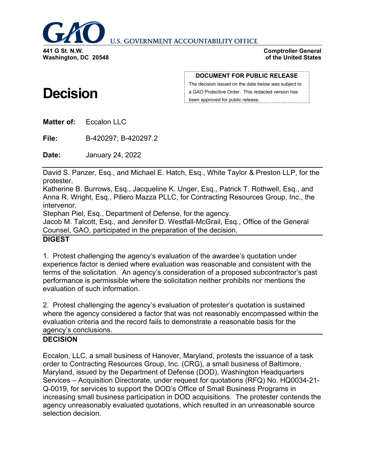

**U.S. GOVERNMENT ACCOUNTABILITY OFFICE** 

**Washington, DC 20548**

**Decision**

#### **Comptroller General of the United States**

#### **DOCUMENT FOR PUBLIC RELEASE**

The decision issued on the date below was subject to a GAO Protective Order. This redacted version has been approved for public release.

**Matter of:** Eccalon LLC

**File:** B-420297; B-420297.2

**Date:** January 24, 2022

David S. Panzer, Esq., and Michael E. Hatch, Esq., White Taylor & Preston LLP, for the protester.

Katherine B. Burrows, Esq., Jacqueline K. Unger, Esq., Patrick T. Rothwell, Esq., and Anna R. Wright, Esq., Piliero Mazza PLLC, for Contracting Resources Group, Inc., the intervenor.

Stephan Piel, Esq., Department of Defense, for the agency.

Jacob M. Talcott, Esq., and Jennifer D. Westfall-McGrail, Esq., Office of the General Counsel, GAO, participated in the preparation of the decision.

# **DIGEST**

1. Protest challenging the agency's evaluation of the awardee's quotation under experience factor is denied where evaluation was reasonable and consistent with the terms of the solicitation. An agency's consideration of a proposed subcontractor's past performance is permissible where the solicitation neither prohibits nor mentions the evaluation of such information.

2. Protest challenging the agency's evaluation of protester's quotation is sustained where the agency considered a factor that was not reasonably encompassed within the evaluation criteria and the record fails to demonstrate a reasonable basis for the agency's conclusions.

# **DECISION**

Eccalon, LLC, a small business of Hanover, Maryland, protests the issuance of a task order to Contracting Resources Group, Inc. (CRG), a small business of Baltimore, Maryland, issued by the Department of Defense (DOD), Washington Headquarters Services – Acquisition Directorate, under request for quotations (RFQ) No. HQ0034-21- Q-0019, for services to support the DOD's Office of Small Business Programs in increasing small business participation in DOD acquisitions. The protester contends the agency unreasonably evaluated quotations, which resulted in an unreasonable source selection decision.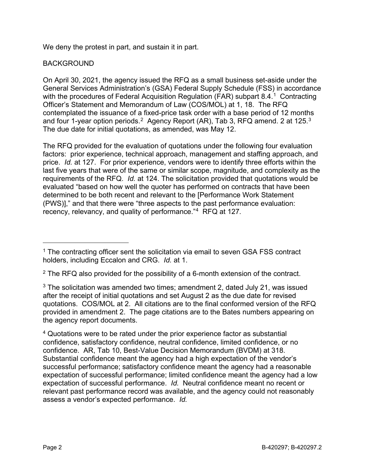We deny the protest in part, and sustain it in part.

# BACKGROUND

On April 30, 2021, the agency issued the RFQ as a small business set-aside under the General Services Administration's (GSA) Federal Supply Schedule (FSS) in accordance with the procedures of Federal Acquisition Regulation (FAR) subpart 8.4.<sup>[1](#page-1-0)</sup> Contracting Officer's Statement and Memorandum of Law (COS/MOL) at 1, 18. The RFQ contemplated the issuance of a fixed-price task order with a base period of 12 months and four 1-year option periods.<sup>[2](#page-1-1)</sup> Agency Report (AR), Tab [3](#page-1-2), RFQ amend. 2 at 125.<sup>3</sup> The due date for initial quotations, as amended, was May 12.

The RFQ provided for the evaluation of quotations under the following four evaluation factors: prior experience, technical approach, management and staffing approach, and price. *Id.* at 127. For prior experience, vendors were to identify three efforts within the last five years that were of the same or similar scope, magnitude, and complexity as the requirements of the RFQ. *Id.* at 124. The solicitation provided that quotations would be evaluated "based on how well the quoter has performed on contracts that have been determined to be both recent and relevant to the [Performance Work Statement (PWS)]," and that there were "three aspects to the past performance evaluation: recency, relevancy, and quality of performance."[4](#page-1-3) RFQ at 127*.*

<span id="page-1-0"></span> $1$  The contracting officer sent the solicitation via email to seven GSA FSS contract holders, including Eccalon and CRG. *Id.* at 1.

<span id="page-1-1"></span> $2$  The RFQ also provided for the possibility of a 6-month extension of the contract.

<span id="page-1-2"></span> $3$  The solicitation was amended two times; amendment 2, dated July 21, was issued after the receipt of initial quotations and set August 2 as the due date for revised quotations. COS/MOL at 2. All citations are to the final conformed version of the RFQ provided in amendment 2. The page citations are to the Bates numbers appearing on the agency report documents.

<span id="page-1-3"></span><sup>&</sup>lt;sup>4</sup> Quotations were to be rated under the prior experience factor as substantial confidence, satisfactory confidence, neutral confidence, limited confidence, or no confidence. AR, Tab 10, Best-Value Decision Memorandum (BVDM) at 318. Substantial confidence meant the agency had a high expectation of the vendor's successful performance; satisfactory confidence meant the agency had a reasonable expectation of successful performance; limited confidence meant the agency had a low expectation of successful performance. *Id.* Neutral confidence meant no recent or relevant past performance record was available, and the agency could not reasonably assess a vendor's expected performance. *Id.*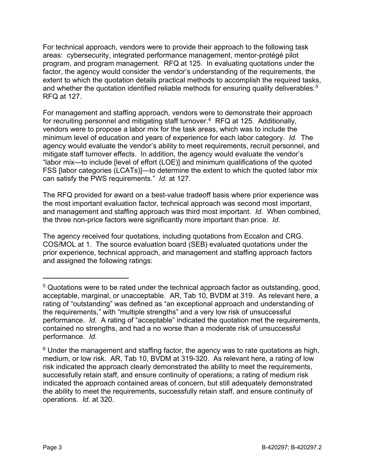For technical approach, vendors were to provide their approach to the following task areas: cybersecurity, integrated performance management, mentor-protégé pilot program, and program management. RFQ at 125. In evaluating quotations under the factor, the agency would consider the vendor's understanding of the requirements, the extent to which the quotation details practical methods to accomplish the required tasks, and whether the quotation identified reliable methods for ensuring quality deliverables.<sup>5</sup> RFQ at 127.

For management and staffing approach, vendors were to demonstrate their approach for recruiting personnel and mitigating staff turnover. $6$  RFQ at 125. Additionally, vendors were to propose a labor mix for the task areas, which was to include the minimum level of education and years of experience for each labor category. *Id.* The agency would evaluate the vendor's ability to meet requirements, recruit personnel, and mitigate staff turnover effects. In addition, the agency would evaluate the vendor's "labor mix—to include [level of effort (LOE)] and minimum qualifications of the quoted FSS [labor categories (LCATs)]—to determine the extent to which the quoted labor mix can satisfy the PWS requirements." *Id.* at 127.

The RFQ provided for award on a best-value tradeoff basis where prior experience was the most important evaluation factor, technical approach was second most important, and management and staffing approach was third most important. *Id.* When combined, the three non-price factors were significantly more important than price. *Id.*

The agency received four quotations, including quotations from Eccalon and CRG. COS/MOL at 1. The source evaluation board (SEB) evaluated quotations under the prior experience, technical approach, and management and staffing approach factors and assigned the following ratings:

<span id="page-2-0"></span><sup>5</sup> Quotations were to be rated under the technical approach factor as outstanding, good, acceptable, marginal, or unacceptable. AR, Tab 10, BVDM at 319. As relevant here, a rating of "outstanding" was defined as "an exceptional approach and understanding of the requirements," with "multiple strengths" and a very low risk of unsuccessful performance. *Id.* A rating of "acceptable" indicated the quotation met the requirements, contained no strengths, and had a no worse than a moderate risk of unsuccessful performance. *Id.* 

<span id="page-2-1"></span> $6$  Under the management and staffing factor, the agency was to rate quotations as high, medium, or low risk. AR, Tab 10, BVDM at 319-320. As relevant here, a rating of low risk indicated the approach clearly demonstrated the ability to meet the requirements, successfully retain staff, and ensure continuity of operations; a rating of medium risk indicated the approach contained areas of concern, but still adequately demonstrated the ability to meet the requirements, successfully retain staff, and ensure continuity of operations. *Id.* at 320.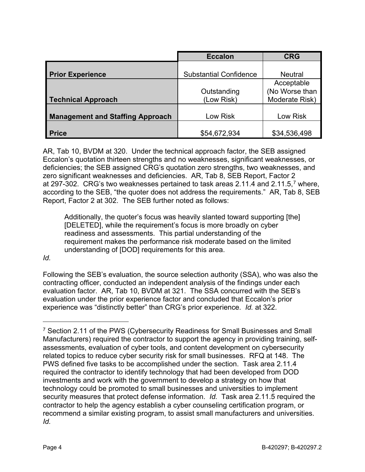|                                         | <b>Eccalon</b>                | <b>CRG</b>     |
|-----------------------------------------|-------------------------------|----------------|
|                                         |                               |                |
| <b>Prior Experience</b>                 | <b>Substantial Confidence</b> | <b>Neutral</b> |
|                                         |                               | Acceptable     |
|                                         | Outstanding                   | (No Worse than |
| <b>Technical Approach</b>               | (Low Risk)                    | Moderate Risk) |
|                                         |                               |                |
| <b>Management and Staffing Approach</b> | Low Risk                      | Low Risk       |
|                                         |                               |                |
| <b>Price</b>                            | \$54,672,934                  | \$34,536,498   |

AR, Tab 10, BVDM at 320.Under the technical approach factor, the SEB assigned Eccalon's quotation thirteen strengths and no weaknesses, significant weaknesses, or deficiencies; the SEB assigned CRG's quotation zero strengths, two weaknesses, and zero significant weaknesses and deficiencies. AR, Tab 8, SEB Report, Factor 2 at 29[7](#page-3-0)-302. CRG's two weaknesses pertained to task areas 2.11.4 and 2.11.5,<sup>7</sup> where, according to the SEB, "the quoter does not address the requirements." AR, Tab 8, SEB Report, Factor 2 at 302. The SEB further noted as follows:

Additionally, the quoter's focus was heavily slanted toward supporting [the] [DELETED], while the requirement's focus is more broadly on cyber readiness and assessments. This partial understanding of the requirement makes the performance risk moderate based on the limited understanding of [DOD] requirements for this area.

# *Id.*

 $\overline{a}$ 

Following the SEB's evaluation, the source selection authority (SSA), who was also the contracting officer, conducted an independent analysis of the findings under each evaluation factor. AR, Tab 10, BVDM at 321. The SSA concurred with the SEB's evaluation under the prior experience factor and concluded that Eccalon's prior experience was "distinctly better" than CRG's prior experience. *Id.* at 322.

<span id="page-3-0"></span><sup>&</sup>lt;sup>7</sup> Section 2.11 of the PWS (Cybersecurity Readiness for Small Businesses and Small Manufacturers) required the contractor to support the agency in providing training, selfassessments, evaluation of cyber tools, and content development on cybersecurity related topics to reduce cyber security risk for small businesses. RFQ at 148. The PWS defined five tasks to be accomplished under the section. Task area 2.11.4 required the contractor to identify technology that had been developed from DOD investments and work with the government to develop a strategy on how that technology could be promoted to small businesses and universities to implement security measures that protect defense information. *Id.* Task area 2.11.5 required the contractor to help the agency establish a cyber counseling certification program, or recommend a similar existing program, to assist small manufacturers and universities. *Id.*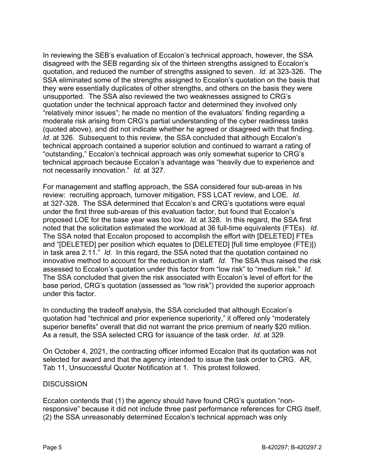In reviewing the SEB's evaluation of Eccalon's technical approach, however, the SSA disagreed with the SEB regarding six of the thirteen strengths assigned to Eccalon's quotation, and reduced the number of strengths assigned to seven. *Id.* at 323-326. The SSA eliminated some of the strengths assigned to Eccalon's quotation on the basis that they were essentially duplicates of other strengths, and others on the basis they were unsupported. The SSA also reviewed the two weaknesses assigned to CRG's quotation under the technical approach factor and determined they involved only "relatively minor issues"; he made no mention of the evaluators' finding regarding a moderate risk arising from CRG's partial understanding of the cyber readiness tasks (quoted above), and did not indicate whether he agreed or disagreed with that finding. *Id.* at 326. Subsequent to this review, the SSA concluded that although Eccalon's technical approach contained a superior solution and continued to warrant a rating of "outstanding," Eccalon's technical approach was only somewhat superior to CRG's technical approach because Eccalon's advantage was "heavily due to experience and not necessarily innovation." *Id.* at 327.

For management and staffing approach, the SSA considered four sub-areas in his review: recruiting approach, turnover mitigation, FSS LCAT review, and LOE. *Id.* at 327-328. The SSA determined that Eccalon's and CRG's quotations were equal under the first three sub-areas of this evaluation factor, but found that Eccalon's proposed LOE for the base year was too low. *Id.* at 328. In this regard, the SSA first noted that the solicitation estimated the workload at 36 full-time equivalents (FTEs). *Id.* The SSA noted that Eccalon proposed to accomplish the effort with [DELETED] FTEs and "[DELETED] per position which equates to [DELETED] [full time employee (FTE)]) in task area 2.11." *Id.* In this regard, the SSA noted that the quotation contained no innovative method to account for the reduction in staff. *Id.* The SSA thus raised the risk assessed to Eccalon's quotation under this factor from "low risk" to "medium risk." *Id.* The SSA concluded that given the risk associated with Eccalon's level of effort for the base period, CRG's quotation (assessed as "low risk") provided the superior approach under this factor.

In conducting the tradeoff analysis, the SSA concluded that although Eccalon's quotation had "technical and prior experience superiority," it offered only "moderately superior benefits" overall that did not warrant the price premium of nearly \$20 million. As a result, the SSA selected CRG for issuance of the task order. *Id.* at 329.

On October 4, 2021, the contracting officer informed Eccalon that its quotation was not selected for award and that the agency intended to issue the task order to CRG. AR, Tab 11, Unsuccessful Quoter Notification at 1. This protest followed.

# **DISCUSSION**

Eccalon contends that (1) the agency should have found CRG's quotation "nonresponsive" because it did not include three past performance references for CRG itself, (2) the SSA unreasonably determined Eccalon's technical approach was only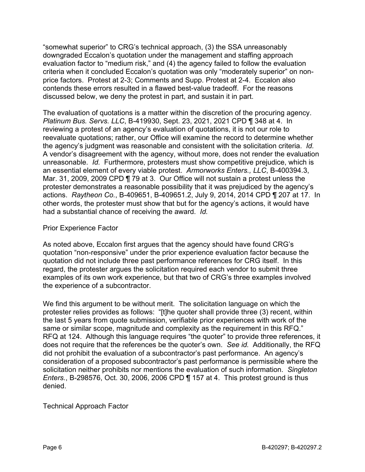"somewhat superior" to CRG's technical approach, (3) the SSA unreasonably downgraded Eccalon's quotation under the management and staffing approach evaluation factor to "medium risk," and (4) the agency failed to follow the evaluation criteria when it concluded Eccalon's quotation was only "moderately superior" on nonprice factors. Protest at 2-3; Comments and Supp. Protest at 2-4. Eccalon also contends these errors resulted in a flawed best-value tradeoff. For the reasons discussed below, we deny the protest in part, and sustain it in part.

The evaluation of quotations is a matter within the discretion of the procuring agency. *Platinum Bus. Servs. LLC*, B-419930, Sept. 23, 2021, 2021 CPD ¶ 348 at 4. In reviewing a protest of an agency's evaluation of quotations, it is not our role to reevaluate quotations; rather, our Office will examine the record to determine whether the agency's judgment was reasonable and consistent with the solicitation criteria. *Id.* A vendor's disagreement with the agency, without more, does not render the evaluation unreasonable. *Id.* Furthermore, protesters must show competitive prejudice, which is an essential element of every viable protest. *Armorworks Enters., LLC*, B-400394.3, Mar. 31, 2009, 2009 CPD ¶ 79 at 3. Our Office will not sustain a protest unless the protester demonstrates a reasonable possibility that it was prejudiced by the agency's actions. *Raytheon Co.*, B-409651, B-409651.2, July 9, 2014, 2014 CPD ¶ 207 at 17. In other words, the protester must show that but for the agency's actions, it would have had a substantial chance of receiving the award. *Id.*

# Prior Experience Factor

As noted above, Eccalon first argues that the agency should have found CRG's quotation "non-responsive" under the prior experience evaluation factor because the quotation did not include three past performance references for CRG itself. In this regard, the protester argues the solicitation required each vendor to submit three examples of its own work experience, but that two of CRG's three examples involved the experience of a subcontractor.

We find this argument to be without merit. The solicitation language on which the protester relies provides as follows: "[t]he quoter shall provide three (3) recent, within the last 5 years from quote submission, verifiable prior experiences with work of the same or similar scope, magnitude and complexity as the requirement in this RFQ." RFQ at 124. Although this language requires "the quoter" to provide three references, it does not require that the references be the quoter's own. *See id.* Additionally, the RFQ did not prohibit the evaluation of a subcontractor's past performance. An agency's consideration of a proposed subcontractor's past performance is permissible where the solicitation neither prohibits nor mentions the evaluation of such information. *Singleton Enters.*, B-298576, Oct. 30, 2006, 2006 CPD ¶ 157 at 4. This protest ground is thus denied.

Technical Approach Factor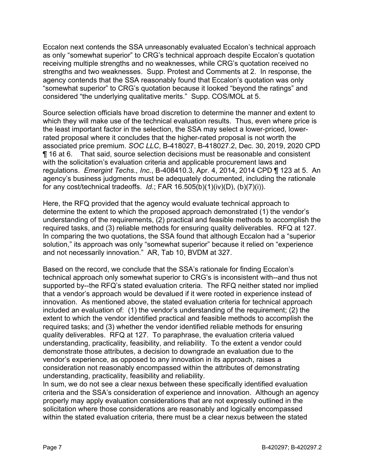Eccalon next contends the SSA unreasonably evaluated Eccalon's technical approach as only "somewhat superior" to CRG's technical approach despite Eccalon's quotation receiving multiple strengths and no weaknesses, while CRG's quotation received no strengths and two weaknesses. Supp. Protest and Comments at 2. In response, the agency contends that the SSA reasonably found that Eccalon's quotation was only "somewhat superior" to CRG's quotation because it looked "beyond the ratings" and considered "the underlying qualitative merits." Supp. COS/MOL at 5.

Source selection officials have broad discretion to determine the manner and extent to which they will make use of the technical evaluation results. Thus, even where price is the least important factor in the selection, the SSA may select a lower-priced, lowerrated proposal where it concludes that the higher-rated proposal is not worth the associated price premium. *SOC LLC*, B-418027, B-418027.2, Dec. 30, 2019, 2020 CPD ¶ 16 at 6. That said, source selection decisions must be reasonable and consistent with the solicitation's evaluation criteria and applicable procurement laws and regulations. *Emergint Techs., Inc.*, B-408410.3, Apr. 4, 2014, 2014 CPD ¶ 123 at 5. An agency's business judgments must be adequately documented, including the rationale for any cost/technical tradeoffs. *Id.*; FAR 16.505(b)(1)(iv)(D), (b)(7)(i)).

Here, the RFQ provided that the agency would evaluate technical approach to determine the extent to which the proposed approach demonstrated (1) the vendor's understanding of the requirements, (2) practical and feasible methods to accomplish the required tasks, and (3) reliable methods for ensuring quality deliverables. RFQ at 127. In comparing the two quotations, the SSA found that although Eccalon had a "superior solution," its approach was only "somewhat superior" because it relied on "experience and not necessarily innovation." AR, Tab 10, BVDM at 327.

Based on the record, we conclude that the SSA's rationale for finding Eccalon's technical approach only somewhat superior to CRG's is inconsistent with--and thus not supported by--the RFQ's stated evaluation criteria. The RFQ neither stated nor implied that a vendor's approach would be devalued if it were rooted in experience instead of innovation. As mentioned above, the stated evaluation criteria for technical approach included an evaluation of: (1) the vendor's understanding of the requirement; (2) the extent to which the vendor identified practical and feasible methods to accomplish the required tasks; and (3) whether the vendor identified reliable methods for ensuring quality deliverables. RFQ at 127. To paraphrase, the evaluation criteria valued understanding, practicality, feasibility, and reliability. To the extent a vendor could demonstrate those attributes, a decision to downgrade an evaluation due to the vendor's experience, as opposed to any innovation in its approach, raises a consideration not reasonably encompassed within the attributes of demonstrating understanding, practicality, feasibility and reliability.

In sum, we do not see a clear nexus between these specifically identified evaluation criteria and the SSA's consideration of experience and innovation. Although an agency properly may apply evaluation considerations that are not expressly outlined in the solicitation where those considerations are reasonably and logically encompassed within the stated evaluation criteria, there must be a clear nexus between the stated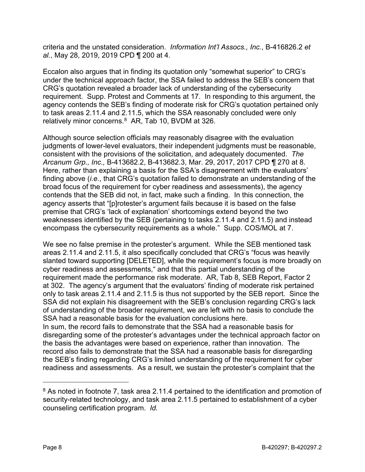criteria and the unstated consideration. *Information Int'l Assocs., Inc.*, B-416826.2 *et al.*, May 28, 2019, 2019 CPD ¶ 200 at 4.

Eccalon also argues that in finding its quotation only "somewhat superior" to CRG's under the technical approach factor, the SSA failed to address the SEB's concern that CRG's quotation revealed a broader lack of understanding of the cybersecurity requirement. Supp. Protest and Comments at 17. In responding to this argument, the agency contends the SEB's finding of moderate risk for CRG's quotation pertained only to task areas 2.11.4 and 2.11.5, which the SSA reasonably concluded were only relatively minor concerns.[8](#page-7-0) AR, Tab 10, BVDM at 326.

Although source selection officials may reasonably disagree with the evaluation judgments of lower-level evaluators, their independent judgments must be reasonable, consistent with the provisions of the solicitation, and adequately documented. *The Arcanum Grp., Inc.,* B-413682.2, B-413682.3, Mar. 29, 2017, 2017 CPD ¶ 270 at 8. Here, rather than explaining a basis for the SSA's disagreement with the evaluators' finding above (*i.e.*, that CRG's quotation failed to demonstrate an understanding of the broad focus of the requirement for cyber readiness and assessments), the agency contends that the SEB did not, in fact, make such a finding. In this connection, the agency asserts that "[p]rotester's argument fails because it is based on the false premise that CRG's 'lack of explanation' shortcomings extend beyond the two weaknesses identified by the SEB (pertaining to tasks 2.11.4 and 2.11.5) and instead encompass the cybersecurity requirements as a whole." Supp. COS/MOL at 7.

We see no false premise in the protester's argument. While the SEB mentioned task areas 2.11.4 and 2.11.5, it also specifically concluded that CRG's "focus was heavily slanted toward supporting [DELETED], while the requirement's focus is more broadly on cyber readiness and assessments," and that this partial understanding of the requirement made the performance risk moderate. AR, Tab 8, SEB Report, Factor 2 at 302. The agency's argument that the evaluators' finding of moderate risk pertained only to task areas 2.11.4 and 2.11.5 is thus not supported by the SEB report. Since the SSA did not explain his disagreement with the SEB's conclusion regarding CRG's lack of understanding of the broader requirement, we are left with no basis to conclude the SSA had a reasonable basis for the evaluation conclusions here.

In sum, the record fails to demonstrate that the SSA had a reasonable basis for disregarding some of the protester's advantages under the technical approach factor on the basis the advantages were based on experience, rather than innovation. The record also fails to demonstrate that the SSA had a reasonable basis for disregarding the SEB's finding regarding CRG's limited understanding of the requirement for cyber readiness and assessments. As a result, we sustain the protester's complaint that the

<span id="page-7-0"></span><sup>&</sup>lt;sup>8</sup> As noted in footnote 7, task area 2.11.4 pertained to the identification and promotion of security-related technology, and task area 2.11.5 pertained to establishment of a cyber counseling certification program. *Id.*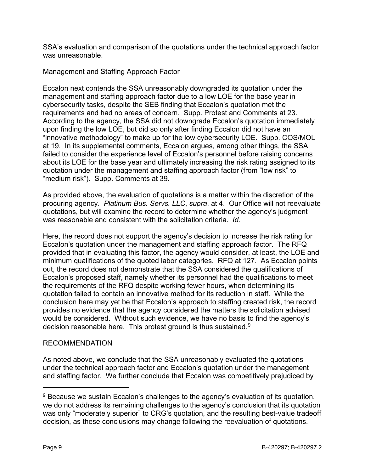SSA's evaluation and comparison of the quotations under the technical approach factor was unreasonable.

Management and Staffing Approach Factor

Eccalon next contends the SSA unreasonably downgraded its quotation under the management and staffing approach factor due to a low LOE for the base year in cybersecurity tasks, despite the SEB finding that Eccalon's quotation met the requirements and had no areas of concern. Supp. Protest and Comments at 23. According to the agency, the SSA did not downgrade Eccalon's quotation immediately upon finding the low LOE, but did so only after finding Eccalon did not have an "innovative methodology" to make up for the low cybersecurity LOE. Supp. COS/MOL at 19. In its supplemental comments, Eccalon argues, among other things, the SSA failed to consider the experience level of Eccalon's personnel before raising concerns about its LOE for the base year and ultimately increasing the risk rating assigned to its quotation under the management and staffing approach factor (from "low risk" to "medium risk"). Supp. Comments at 39.

As provided above, the evaluation of quotations is a matter within the discretion of the procuring agency. *Platinum Bus. Servs. LLC*, *supra*, at 4. Our Office will not reevaluate quotations, but will examine the record to determine whether the agency's judgment was reasonable and consistent with the solicitation criteria. *Id.*

Here, the record does not support the agency's decision to increase the risk rating for Eccalon's quotation under the management and staffing approach factor. The RFQ provided that in evaluating this factor, the agency would consider, at least, the LOE and minimum qualifications of the quoted labor categories. RFQ at 127. As Eccalon points out, the record does not demonstrate that the SSA considered the qualifications of Eccalon's proposed staff, namely whether its personnel had the qualifications to meet the requirements of the RFQ despite working fewer hours, when determining its quotation failed to contain an innovative method for its reduction in staff. While the conclusion here may yet be that Eccalon's approach to staffing created risk, the record provides no evidence that the agency considered the matters the solicitation advised would be considered. Without such evidence, we have no basis to find the agency's decision reasonable here. This protest ground is thus sustained.<sup>[9](#page-8-0)</sup>

# RECOMMENDATION

As noted above, we conclude that the SSA unreasonably evaluated the quotations under the technical approach factor and Eccalon's quotation under the management and staffing factor. We further conclude that Eccalon was competitively prejudiced by

<span id="page-8-0"></span> $9$  Because we sustain Eccalon's challenges to the agency's evaluation of its quotation, we do not address its remaining challenges to the agency's conclusion that its quotation was only "moderately superior" to CRG's quotation, and the resulting best-value tradeoff decision, as these conclusions may change following the reevaluation of quotations.